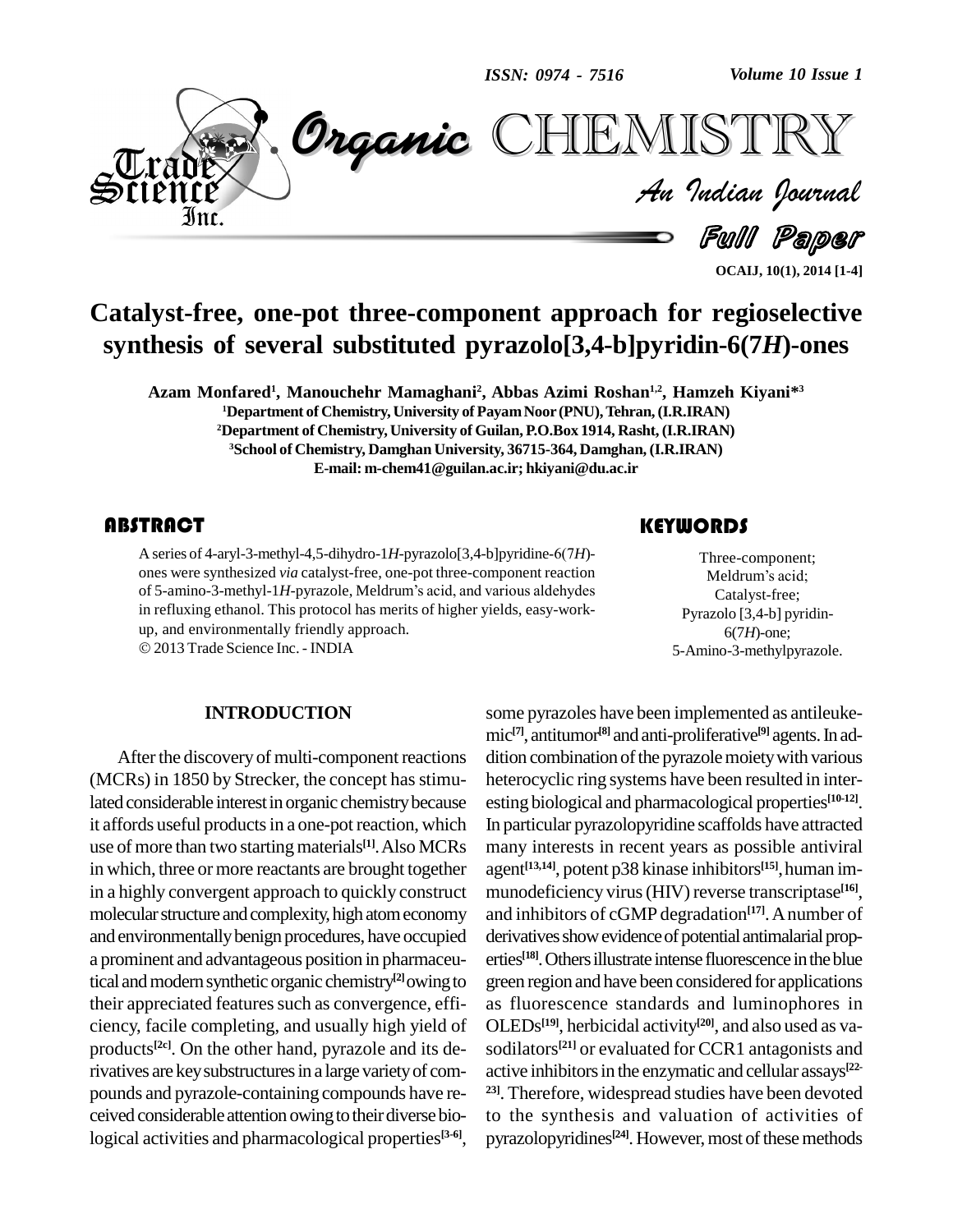*ISSN: 0974 - 7516*

*Volume 10 Issue 1*



**OCAIJ, 10(1), 2014 [1-4]**

# **Catalyst-free, one-pot three-component approach for regioselective synthesis of several substituted pyrazolo[3,4-b]pyridin-6(7***H***)-ones**

**Azam Monfared 1 , Manouchehr Mamaghani<sup>2</sup> , Abbas Azimi Roshan 1,2 , Hamzeh Kiyani\* 3** <sup>1</sup>Department of Chemistry, University of Payam Noor (PNU), Tehran, (I.R.IRAN) **<sup>2</sup>Department of Chemistry, University of Guilan, P.O.Box 1914, Rasht, (I.R.IRAN) <sup>3</sup>School of Chemistry, Damghan University, 36715-364, Damghan, (I.R.IRAN) E-mail: [m-chem41@guilan.ac.ir;](mailto:m-chem41@guilan.ac.ir;) [hkiyani@du.ac.ir](mailto:hkiyani@du.ac.ir)**

A series of 4-aryl-3-meth<br>ones were synthesized v<br>of 5-amino-3-methyl-1*H*. **ABSTRACT**<br>A series of 4-aryl-3-methyl-4,5-dihydro-1*H*-pyrazolo[3,4-b]pyridine-6(7*H*)ones were synthesized *via* catalyst-free, one-pot three-component reaction A series of 4-aryl-3-methyl-4,5-dihydro-1H-pyrazolo[3,4-b]pyridine-6(7H)-<br>ones were synthesized *via* catalyst-free, one-pot three-component reaction<br>of 5-amino-3-methyl-1H-pyrazole, Meldrum's acid, and various aldehydes in refluxing ethanol. This protocol has merits of higher yields, easy-work up, and environmentally friendly approach.

2013Trade Science Inc. - INDIA

## **INTRODUCTION**

After the discovery of multi-component reactions  $(MCRs)$  in 1850 by Strecker, the concept has stimulated considerable interest in organic chemistry because it affords useful products in a one-pot reaction, which use of more than two starting materials<sup>[1]</sup>. Also MCRs man in which, three or more reactants are brought together in a highly convergent approach to quickly construct molecular structure and complexity, high atom economy and environmentallybenign procedures, have occupied a prominent and advantageous position in pharmaceutical and modern synthetic organic chemistry<sup>[2]</sup>owing to green ro their appreciated features such as convergence, efficiency, facile completing, and usually high yield of products **[2c]**. On the other hand, pyrazole and its derivatives are key substructures in a large variety of compounds and pyrazole-containing compounds have re ceived considerable attention owing to their diverse biological activities and pharmacological properties **[3-6]**,

Three-component;<br>Meldrum's acid;<br>Catalyst-free; Three-component; THE<br>Three-component;<br>Meldrum's acid; Catalyst-free; Pyrazolo [3,4-b] pyridin- 6(7*H*)-one; 5-Amino-3-methylpyrazole.

some pyrazoles have been implemented as antileuke mic **[7]**, antitumor **[8]** and anti-proliferative **[9]** agents.In ad dition combination of the pyrazole moiety with various heterocyclic ring systems have been resulted in inter esting biological and pharmacological properties **[10-12]**. In particular pyrazolopyridine scaffolds have attracted many interests in recent years as possible antiviral agent **[13,14]**, potent p38 kinase inhibitors **[15]**,human im munodeficiency virus(HIV) reverse transcriptase **[16]**, and inhibitors of cGMP degradation **[17]**.Anumber of derivatives show evidence of potential antimalarial properties **[18]**.Othersillustrate intense fluorescence intheblue green regionand have been considered for applications as fluorescence standards and luminophores in OLEDs **[19]**, herbicidal activity **[20]**, and also used as va sodilators **[21]** or evaluated for CCR1 antagonists and active inhibitors in the enzymatic and cellular assays<sup>[22-</sup> **23]**. Therefore, widespread studies have been devoted to the synthesis and valuation of activities of pyrazolopyridines<sup>[24]</sup>. However, most of these methods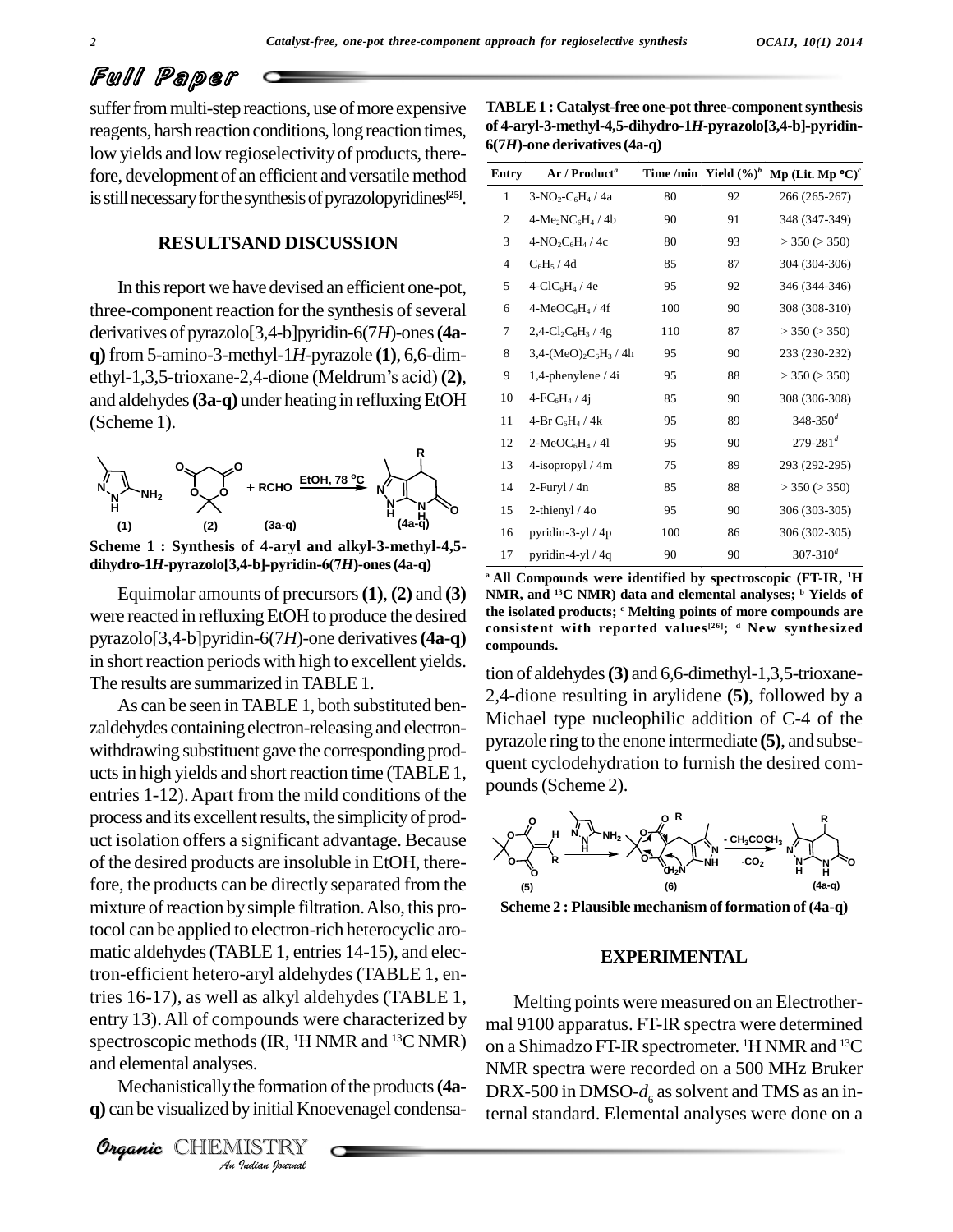# Full Paper

suffer from multi-step reactions, use of more expensive reagents, harsh reaction conditions, long reaction times, low yields and low regioselectivity of products, therefore, development of an efficient and versatile method is still necessary for the synthesis of pyrazolopyridines<sup>[25]</sup>.

## **RESULTSAND DISCUSSION**

In thisreport we have devised an efficient one-pot, three-component reaction for the synthesis of several derivatives of pyrazolo[3,4-b]pyridin-6(7*H*)-ones (4a-<br> **q**) from 5-amino-3-methyl-1*H*-pyrazole (1), 6,6-dim-<br>
ethyl-1,3,5-trioxane-2,4-dione (Meldrum's acid) (2), **q)**from 5-amino-3-methyl-1*H*-pyrazole **(1)**, 6,6-dim and aldehydes (3a-q) under heating in refluxing EtOH (Scheme 1).



**Scheme 1 : Synthesis of 4-aryl and alkyl-3-methyl-4,5-**

Equimolar amounts of precursors**(1)**, **(2)** and **(3)** were reacted in refluxing EtOH to produce the desired pyrazolo[3,4-b]pyridin-6(7*H*)-one derivatives**(4a-q)** in short reaction periods with high to excellent yields. The results are summarized in TABLE 1.

Figures of *IR*, <sup>1</sup>H NMR and <sup>13</sup>C NMR) on a<br>
and elemental analyses.<br>
Mechanistically the formation of the products (4a-<br> **Organic** CHEMISTRY<br> *An Indian Ippermat* As can be seen inTABLE 1, both substituted ben zaldehydes containingelectron-releasing and electron withdrawing substituent gave the corresponding prod ucts in high yields and short reaction time (TABLE 1, entries 1-12).Apart from the mild conditions of the process and its excellent results, the simplicity of product isolation offers a significant advantage. Because of the desired products are insoluble in EtOH, therefore, the products can be directly separated from the mixture of reaction by simple filtration. Also, this protocol can be applied to electron-rich heterocyclic aro matic aldehydes(TABLE 1, entries 14-15), and electron-efficient hetero-aryl aldehydes(TABLE 1, entries 16-17), as well as alkyl aldehydes (TABLE 1, entry 13).All of compounds were characterized by and elemental analyses.

Mechanistically the formation of the products (4a**q**) can be visualized by initial Knoevenagel condensa-

Organic CHEMISTRY

| TABLE 1 : Catalyst-free one-pot three-component synthesis  |  |
|------------------------------------------------------------|--|
| of 4-aryl-3-methyl-4,5-dihydro-1H-pyrazolo[3,4-b]-pyridin- |  |
| 6(7H)-one derivatives (4a-q)                               |  |

| $5(7H)$ -one derivatives (4a-q) |                                                           |     |                          |                              |  |
|---------------------------------|-----------------------------------------------------------|-----|--------------------------|------------------------------|--|
| Entry                           | Ar / Product <sup>a</sup>                                 |     | Time /min Yield $(\%)^b$ | Mp (Lit. Mp $^{\circ}C)^{c}$ |  |
| 1                               | $3-NO_2-C_6H_4/4a$                                        | 80  | 92                       | 266 (265-267)                |  |
| 2                               | $4-Me_2NC_6H_4/4b$                                        | 90  | 91                       | 348 (347-349)                |  |
| 3                               | $4-NO_2C_6H_4/4c$                                         | 80  | 93                       | $>$ 350 ( $>$ 350)           |  |
| 4                               | $C_6H_5/4d$                                               | 85  | 87                       | 304 (304-306)                |  |
| 5                               | $4-CIC6H4$ / 4e                                           | 95  | 92                       | 346 (344-346)                |  |
| 6                               | $4-MeOC6H4/4f$                                            | 100 | 90                       | 308 (308-310)                |  |
| 7                               | $2,4$ -Cl <sub>2</sub> C <sub>6</sub> H <sub>3</sub> / 4g | 110 | 87                       | $>$ 350 ( $>$ 350)           |  |
| 8                               | $3,4-(MeO)2C6H3$ / 4h                                     | 95  | 90                       | 233 (230-232)                |  |
| 9                               | 1,4-phenylene $/4i$                                       | 95  | 88                       | $>$ 350 ( $>$ 350)           |  |
| 10                              | $4-FC_6H_4/41$                                            | 85  | 90                       | 308 (306-308)                |  |
| 11                              | 4-Br $C_6H_4/4k$                                          | 95  | 89                       | $348 - 350^d$                |  |
| 12                              | $2-MeOC6H4/41$                                            | 95  | 90                       | $279 - 281^{d}$              |  |
| 13                              | 4-isopropyl / 4m                                          | 75  | 89                       | 293 (292-295)                |  |
| 14                              | $2$ -Furyl / $4n$                                         | 85  | 88                       | $>$ 350 ( $>$ 350)           |  |
| 15                              | 2-thienyl $/40$                                           | 95  | 90                       | 306 (303-305)                |  |
| 16                              | pyridin-3-yl $/4p$                                        | 100 | 86                       | 306 (302-305)                |  |
| 17                              | pyridin-4-yl $/$ 4q                                       | 90  | 90                       | $307 - 310^d$                |  |

**<sup>a</sup> All Compounds were identified by spectroscopic (FT-IR, <sup>1</sup>H NMR, and <sup>13</sup>C NMR) data and elemental analyses; <sup>b</sup> Yields of the isolated products; <sup>c</sup> Melting points of more compounds are consistent with reported values [26]; <sup>d</sup> New synthesized compounds.**

tion of aldehydes**(3)** and 6,6-dimethyl-1,3,5-trioxane- 2,4-dione resulting in arylidene **(5)**, followed by a Michael type nucleophilic addition of C-4 of the pyrazole ring to the enone intermediate **(5)**, and subse quent cyclodehydration to furnish the desired com pounds(Scheme 2).



**Scheme 2 : Plausible mechanism of formation of (4a-q)**

### **EXPERIMENTAL**

Melting points were measured on an Electrother mal 9100 apparatus. FT-IR spectra were determined on a Shimadzo FT-IR spectrometer. <sup>1</sup>H NMR and <sup>13</sup>C NMR spectra were recorded on a 500 MHz Bruker DRX-500 in DMSO- $d_6$  as solvent and TMS as an internal standard. Elemental analyses were done on a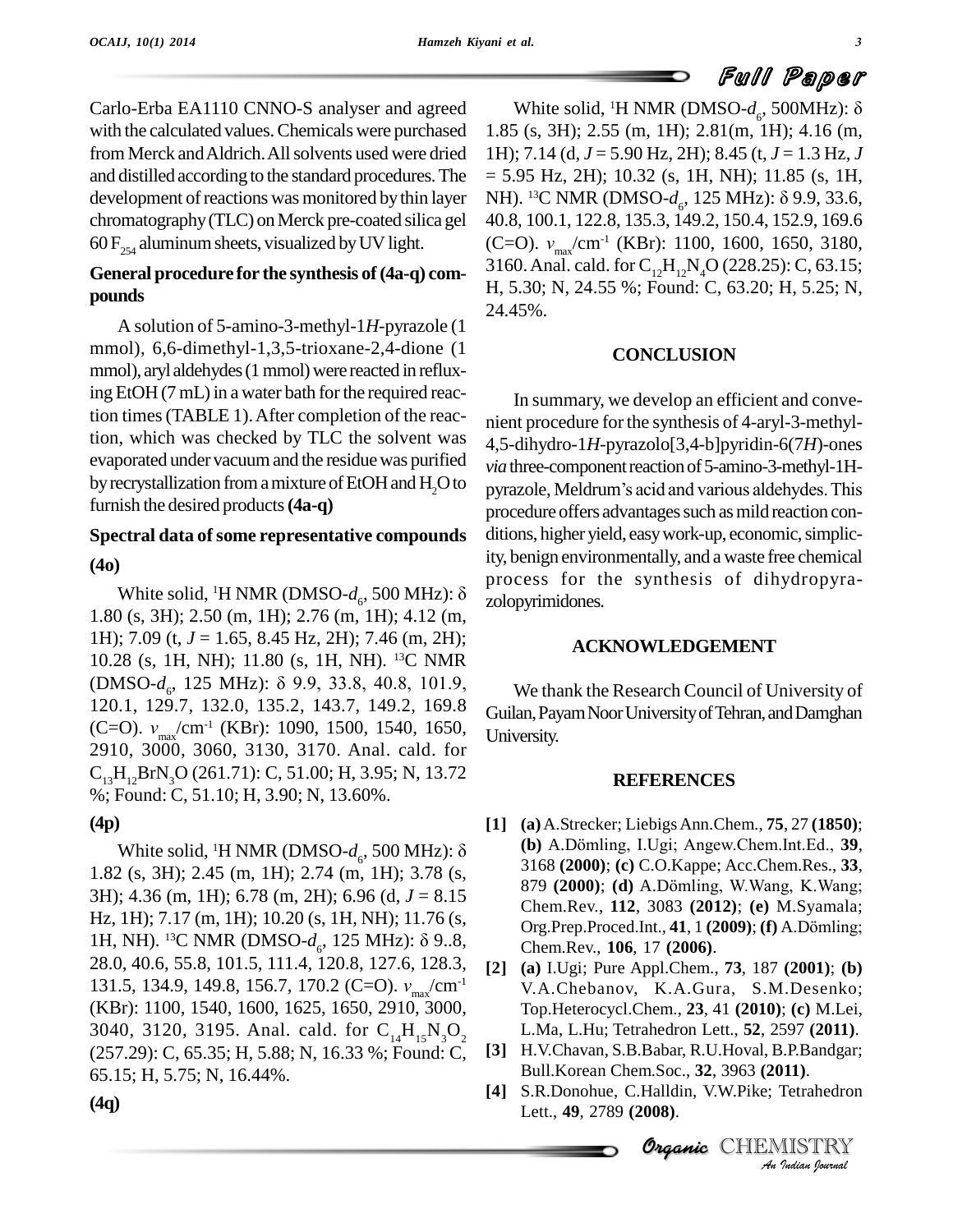Carlo-Erba EA1110 CNNO-S analyser and agreed with the calculated values. Chemicals were purchased from Merck and Aldrich. All solvents used were dried and distilled according to the standard procedures.The development of reactions was monitored by thin layer chromatography(TLC) onMerck pre-coated silica gel 60  $F_{254}$  aluminum sheets, visualized by UV light.

# **General procedure for the synthesis of(4a-q) com pounds**

A solution of 5-amino-3-methyl-1*H*-pyrazole (1 mmol), 6,6-dimethyl-1,3,5-trioxane-2,4-dione (1 mmol), aryl aldehydes (1 mmol) were reacted in refluxing  $EtOH$  (7 mL) in a water bath for the required reaction times (TABLE 1). After completion of the reaction, which was checked by TLC the solvent was evaporated under vacuumand the residuewas purified by recrystallization from a mixture of EtOH and H<sub>2</sub>O to furnish the desired products**(4a-q)**

# **Spectral data ofsome representative compounds (4o)** White solid, <sup>1</sup>H NMR (DMSO- $d_6$ , 500 MHz):  $\delta$  and  $\delta$  proce

1.80 (s, 3H); 2.50 (m, 1H); 2.76 (m, 1H); 4.12 (m, 1H); 7.09 (t, *J* = 1.65, 8.45 Hz, 2H); 7.46 (m, 2H); 10.28 (s, 1H, NH); 11.80 (s, 1H, NH). <sup>13</sup>C NMR 1H); 7.09 (t, *J* = 1.65, 8.45 Hz, 2H); 7.46 (m, 2H);<br>10.28 (s, 1H, NH); 11.80 (s, 1H, NH). <sup>13</sup>C NMR<br>(DMSO-*d<sub>6</sub>*, 125 MHz): δ 9.9, 33.8, 40.8, 101.9, 120.1, 129.7, 132.0, 135.2, 143.7, 149.2, 169.8 (DMSO- $d_{6}$ , 125<br>120.1, 129.7, 13<br>(C=O).  $v_{max}/cm^{-1}$ (C=O).  $v_{\text{max}}$ /cm<sup>-1</sup> (KBr): 1090, 1500, 1540, 1650, 2910, 3000, 3060, 3130, 3170. Anal. cald. for  $C_{12}H_{12}BrN_2O (261.71): C, 51.00; H, 3.95; N, 13.72$ %; Found: C, 51.10; H, 3.90; N, 13.60%.

# **(4p)**

White solid, <sup>1</sup>H NMR (DMSO- $d_6$ , 500 MHz):  $\delta$  <sup>(1</sup>) 1.82 (s, 3H); 2.45 (m, 1H); 2.74 (m, 1H); 3.78 (s, 3H); 4.36 (m, 1H); 6.78 (m, 2H); 6.96 (d, *J* = 8.15 Hz, 1H); 7.17 (m, 1H); 10.20 (s, 1H, NH); 11.76 (s, 3H); 4.36 (m, 1H); 6.78 (m, 2H); 6.96 (d, *J* = 8.15<br>Hz, 1H); 7.17 (m, 1H); 10.20 (s, 1H, NH); 11.76 (s,<br>1H, NH). <sup>13</sup>C NMR (DMSO-*d<sub>6</sub>*, 125 MHz): δ 9..8, 28.0, 40.6, 55.8, 101.5, 111.4, 120.8, 127.6, 128.3, 1H, NH). <sup>13</sup>C NMR (DMSO-*d<sub>6</sub>*, 125 MHz): δ 9..8, 28.0, 40.6, 55.8, 101.5, 111.4, 120.8, 127.6, 128.3, 131.5, 134.9, 149.8, 156.7, 170.2 (C=O).  $v_{\text{max}}/\text{cm}^{-1}$ 131.5, 134.9, 149.8, 156.7, 170.2 (C=O).  $v_{\text{max}} / \text{cm}^{-1}$ (KBr): 1100, 1540, 1600, 1625, 1650, 2910, 3000, 3040, 3120, 3195. Anal. cald. for  $C_{14}H_{15}N_3O_2$ <br>(257.29): C. 65.35: H. 5.88: N. 16.33 %: Found: C. [3] (257.29): C, 65.35; H, 5.88; N, 16.33 %; Found: C, 65.15; H, 5.75; N, 16.44%.

White solid, <sup>1</sup>H NMR (DMSO- $d_{\epsilon}$ , 500MHz):  $\delta$ 1.85 (s, 3H); 2.55 (m, 1H); 2.81(m, 1H); 4.16 (m, 1H); 7.14 (d, *J* = 5.90 Hz, 2H); 8.45 (t, *J* = 1.3 Hz, *J*<br>= 5.95 Hz, 2H); 10.32 (s, 1H, NH); 11.85 (s, 1H,<br>NH). <sup>13</sup>C NMR (DMSO-*d*<sub>c</sub>, 125 MHz): δ 9.9, 33.6,  $= 5.95$  Hz, 2H); 10.32 (s, 1H, NH); 11.85 (s, 1H, NH). <sup>13</sup>C NMR (DMSO-*d<sub>6</sub>*, 125 MHz): δ 9.9, 33.6, 40.8, 100.1, 122.8, 135.3, 149.2, 150.4, 152.9, 169.6 NH). <sup>13</sup>C NMR (1<br>40.8, 100.1, 122.8<br>(C=O). *v<sub>max</sub>*/cm<sup>-1</sup> (C=O).  $v_{\text{max}}/\text{cm}^{-1}$  (KBr): 1100, 1600, 1650, 3180, 3160. Anal. cald. for  $C_{12}H_{12}N_{4}O$  (228.25): C, 63.15; H, 5.30; N, 24.55 %; Found: C, 63.20; H, 5.25; N, 24.45%.

## **CONCLUSION**

In summary, we develop an efficient and conve nient procedure forthe synthesis of 4-aryl-3-methyl- 4,5-dihydro-1*H*-pyrazolo[3,4-b]pyridin-6(7*H*)-ones *via* three-component reaction of 5-amino-3-methyl-1Hpyrazole, Meldrum's acid and various aldehydes. This procedure offers advantages such as mild reaction conditions, higher yield, easy work-up, economic, simplicity, benign environmentally, and a waste free chemical process for the synthesis of dihydropyra zolopyrimidones.

## **ACKNOWLEDGEMENT**

We thank the Research Council of University of Guilan,PayamNoorUniversityofTehran,andDamghan University.

### **REFERENCES**

- **[1] (a)**A.Strecker; LiebigsAnn.Chem., **75**, 27 **(1850)**; **(a)** A.Strecker; Liebigs Ann.Chem., **75**, 27 **(1850)**;<br>**(b)** A.Dömling, I.Ugi; Angew.Chem.Int.Ed., **39**, 3168 **(2000)**; **(c)** C.O.Kappe; Acc.Chem.Res., **33**, (b) A.Dömling, I.Ugi; Angew.Chem.Int.Ed., 39,<br>3168 (2000); (c) C.O.Kappe; Acc.Chem.Res., 33,<br>879 (2000); (d) A.Dömling, W.Wang, K.Wang; Chem.Rev., **112**, 3083 **(2012)**; **(e)** M.Syamala; 879 (**2000**); (**d**) A.Dömling, W.Wang, K.Wang; Chem.Rev., **112**, 3083 (**2012**); (**e**) M.Syamala; Org.Prep.Proced.Int., **41**, 1 (**2009**); (**f**) A.Dömling; Chem.Rev., **106**, 17 **(2006)**.
- **Organic***An*L.Ma, L.Hu; Tetrahedron Lett., **52**, 2597 **(2011)**. **[2] (a)** I.Ugi; Pure Appl.Chem., **73**, 187 **(2001)**; **(b)** V.A.Chebanov, K.A.Gura, S.M.Desenko; Top.Heterocycl.Chem., **23**, 41 **(2010)**; **(c)** M.Lei,
- **[3]** H.V.Chavan, S.B.Babar, R.U.Hoval, B.P.Bandgar; Bull.Korean Chem.Soc., **32**, 3963 **(2011)**.
- 397 (2011).<br>*I.*P.Bandgar;<br>**I11**).<br>Tetrahedron<br><u>IISTRY</u> **[4]** S.R.Donohue, C.Halldin, V.W.Pike; Tetrahedron Lett., **49**, 2789 **(2008)**.

**CHEMISTRY**